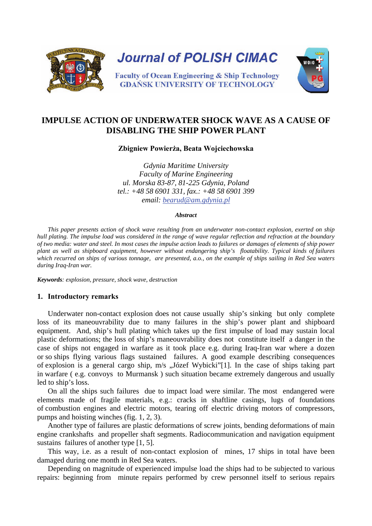

# **IMPULSE ACTION OF UNDERWATER SHOCK WAVE AS A CAUSE OF DISABLING THE SHIP POWER PLANT**

**Zbigniew Powierża, Beata Wojciechowska**

*Gdynia Maritime University Faculty of Marine Engineering ul. Morska 83-87, 81-225 Gdynia, Poland tel.: +48 58 6901 331, fax.: +48 58 6901 399 email: [bearud@am.gdynia.pl](mailto:bearud@am.gdynia.pl)*

#### *Abstract*

*This paper presents action of shock wave resulting from an underwater non-contact explosion, exerted on ship hull plating. The impulse load was considered in the range of wave regular reflection and refraction at the boundary of two media: water and steel. In most cases the impulse action leads to failures or damages of elements of ship power plant as well as shipboard equipment, however without endangering ship's floatability. Typical kinds of failures which recurred on ships of various tonnage, are presented, a.o., on the example of ships sailing in Red Sea waters during Iraq-Iran war.* 

*Keywords: explosion, pressure, shock wave, destruction*

## **1. Introductory remarks**

Underwater non-contact explosion does not cause usually ship's sinking but only complete loss of its maneouvrability due to many failures in the ship's power plant and shipboard equipment. And, ship's hull plating which takes up the first impulse of load may sustain local plastic deformations; the loss of ship's maneouvrability does not constitute itself a danger in the case of ships not engaged in warfare as it took place e.g. during Iraq-Iran war where a dozen or so ships flying various flags sustained failures. A good example describing consequences of explosion is a general cargo ship, m/s "Józef Wybicki"[1]. In the case of ships taking part in warfare ( e.g. convoys to Murmansk ) such situation became extremely dangerous and usually led to ship's loss.

On all the ships such failures due to impact load were similar. The most endangered were elements made of fragile materials, e.g.: cracks in shaftline casings, lugs of foundations of combustion engines and electric motors, tearing off electric driving motors of compressors, pumps and hoisting winches (fig. 1, 2, 3).

Another type of failures are plastic deformations of screw joints, bending deformations of main engine crankshafts and propeller shaft segments. Radiocommunication and navigation equipment sustains failures of another type [1, 5].

This way, i.e. as a result of non-contact explosion of mines, 17 ships in total have been damaged during one month in Red Sea waters.

Depending on magnitude of experienced impulse load the ships had to be subjected to various repairs: beginning from minute repairs performed by crew personnel itself to serious repairs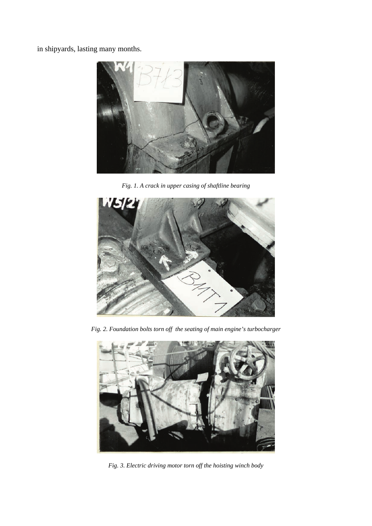in shipyards, lasting many months.



*Fig. 1. A crack in upper casing of shaftline bearing*



*Fig. 2. Foundation bolts torn off the seating of main engine's turbocharger*



*Fig. 3. Electric driving motor torn off the hoisting winch body*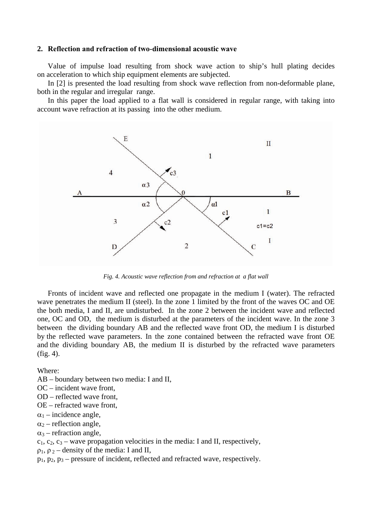### **2. Reflection and refraction of two-dimensional acoustic wave**

Value of impulse load resulting from shock wave action to ship's hull plating decides on acceleration to which ship equipment elements are subjected.

In [2] is presented the load resulting from shock wave reflection from non-deformable plane, both in the regular and irregular range.

In this paper the load applied to a flat wall is considered in regular range, with taking into account wave refraction at its passing into the other medium.



*Fig. 4. Acoustic wave reflection from and refraction at a flat wall*

Fronts of incident wave and reflected one propagate in the medium I (water). The refracted wave penetrates the medium II (steel). In the zone 1 limited by the front of the waves OC and OE the both media, I and II, are undisturbed. In the zone 2 between the incident wave and reflected one, OC and OD, the medium is disturbed at the parameters of the incident wave. In the zone 3 between the dividing boundary AB and the reflected wave front OD, the medium I is disturbed by the reflected wave parameters. In the zone contained between the refracted wave front OE and the dividing boundary AB, the medium II is disturbed by the refracted wave parameters (fig. 4).

Where:

- AB boundary between two media: I and II,
- OC incident wave front,
- OD reflected wave front,
- OE refracted wave front,
- $\alpha_1$  incidence angle,
- $\alpha_2$  reflection angle,
- $\alpha_3$  refraction angle,
- $c_1, c_2, c_3$  wave propagation velocities in the media: I and II, respectively,
- $\rho_1$ ,  $\rho_2$  density of the media: I and II,
- $p_1, p_2, p_3$  pressure of incident, reflected and refracted wave, respectively.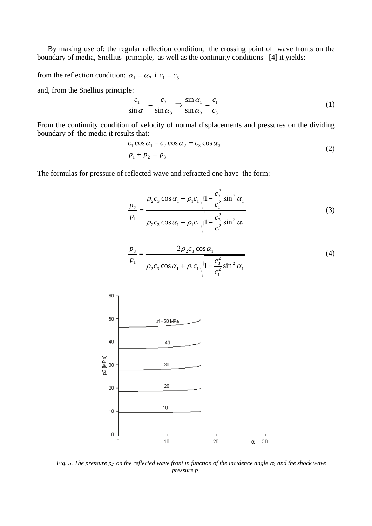By making use of: the regular reflection condition, the crossing point of wave fronts on the boundary of media, Snellius principle, as well as the continuity conditions [4] it yields:

from the reflection condition:  $\alpha_1 = \alpha_2$  i  $c_1 = c_3$ 

and, from the Snellius principle:

$$
\frac{c_1}{\sin \alpha_1} = \frac{c_3}{\sin \alpha_3} \Rightarrow \frac{\sin \alpha_1}{\sin \alpha_3} = \frac{c_1}{c_3}
$$
 (1)

From the continuity condition of velocity of normal displacements and pressures on the dividing boundary of the media it results that:

$$
c_1 \cos \alpha_1 - c_2 \cos \alpha_2 = c_3 \cos \alpha_3
$$
  
\n
$$
p_1 + p_2 = p_3
$$
\n(2)

The formulas for pressure of reflected wave and refracted one have the form:

$$
\frac{p_2}{p_1} = \frac{\rho_2 c_3 \cos \alpha_1 - \rho_1 c_1 \sqrt{1 - \frac{c_3^2}{c_1^2} \sin^2 \alpha_1}}{\rho_2 c_3 \cos \alpha_1 + \rho_1 c_1 \sqrt{1 - \frac{c_3^2}{c_1^2} \sin^2 \alpha_1}}
$$
(3)

$$
\frac{p_3}{p_1} = \frac{2\rho_2 c_3 \cos \alpha_1}{\rho_2 c_3 \cos \alpha_1 + \rho_1 c_1 \sqrt{1 - \frac{c_3^2}{c_1^2} \sin^2 \alpha_1}}
$$
(4)



*Fig. 5. The pressure*  $p_2$  *on the reflected wave front in function of the incidence angle*  $\alpha_1$  *and the shock wave pressure p1*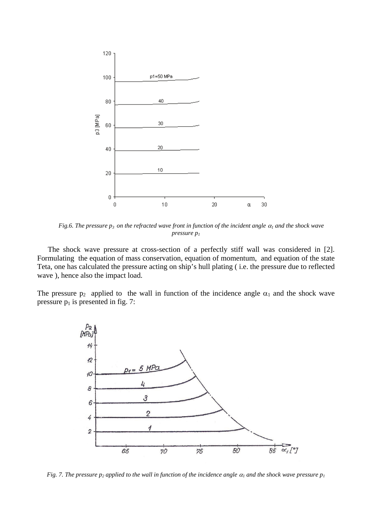

*Fig.6. The pressure p<sub>3</sub> on the refracted wave front in function of the incident angle*  $\alpha_1$  *and the shock wave pressure p1*

The shock wave pressure at cross-section of a perfectly stiff wall was considered in [2]. Formulating the equation of mass conservation, equation of momentum, and equation of the state Teta, one has calculated the pressure acting on ship's hull plating ( i.e. the pressure due to reflected wave ), hence also the impact load.

The pressure  $p_2$  applied to the wall in function of the incidence angle  $\alpha_1$  and the shock wave pressure  $p_1$  is presented in fig. 7:



*Fig. 7. The pressure p<sub>2</sub> applied to the wall in function of the incidence angle*  $\alpha_l$  *and the shock wave pressure p<sub>1</sub>*